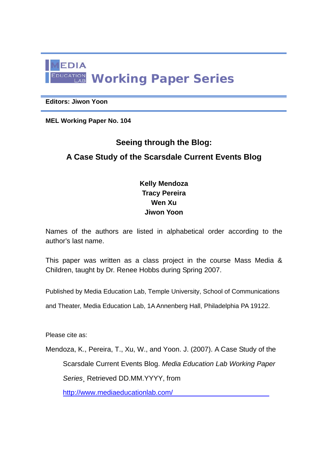

#### **Editors: Jiwon Yoon**

**MEL Working Paper No. 104** 

# **Seeing through the Blog: A Case Study of the Scarsdale Current Events Blog**

### **Kelly Mendoza Tracy Pereira Wen Xu Jiwon Yoon**

Names of the authors are listed in alphabetical order according to the author's last name.

This paper was written as a class project in the course Mass Media & Children, taught by Dr. Renee Hobbs during Spring 2007.

Published by Media Education Lab, Temple University, School of Communications

and Theater, Media Education Lab, 1A Annenberg Hall, Philadelphia PA 19122.

Please cite as:

Mendoza, K., Pereira, T., Xu, W., and Yoon. J. (2007). A Case Study of the Scarsdale Current Events Blog. *Media Education Lab Working Paper Series*¸ Retrieved DD.MM.YYYY, from

http://www.mediaeducationlab.com/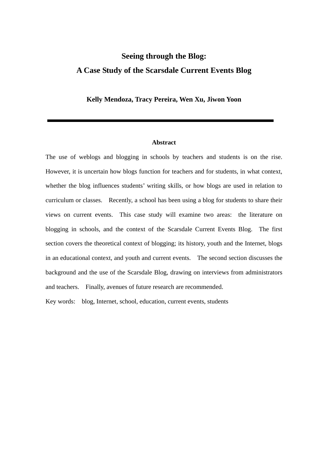## **Seeing through the Blog: A Case Study of the Scarsdale Current Events Blog**

**Kelly Mendoza, Tracy Pereira, Wen Xu, Jiwon Yoon** 

#### **Abstract**

The use of weblogs and blogging in schools by teachers and students is on the rise. However, it is uncertain how blogs function for teachers and for students, in what context, whether the blog influences students' writing skills, or how blogs are used in relation to curriculum or classes. Recently, a school has been using a blog for students to share their views on current events. This case study will examine two areas: the literature on blogging in schools, and the context of the Scarsdale Current Events Blog. The first section covers the theoretical context of blogging; its history, youth and the Internet, blogs in an educational context, and youth and current events. The second section discusses the background and the use of the Scarsdale Blog, drawing on interviews from administrators and teachers. Finally, avenues of future research are recommended.

Key words: blog, Internet, school, education, current events, students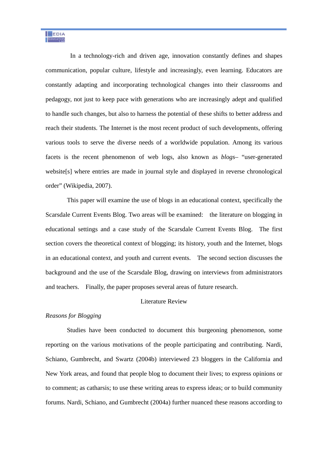In a technology-rich and driven age, innovation constantly defines and shapes communication, popular culture, lifestyle and increasingly, even learning. Educators are constantly adapting and incorporating technological changes into their classrooms and pedagogy, not just to keep pace with generations who are increasingly adept and qualified to handle such changes, but also to harness the potential of these shifts to better address and reach their students. The Internet is the most recent product of such developments, offering various tools to serve the diverse needs of a worldwide population. Among its various facets is the recent phenomenon of web logs, also known as *blogs*– "user-generated website[s] where entries are made in journal style and displayed in reverse chronological order" (Wikipedia, 2007).

 This paper will examine the use of blogs in an educational context, specifically the Scarsdale Current Events Blog. Two areas will be examined: the literature on blogging in educational settings and a case study of the Scarsdale Current Events Blog. The first section covers the theoretical context of blogging; its history, youth and the Internet, blogs in an educational context, and youth and current events. The second section discusses the background and the use of the Scarsdale Blog, drawing on interviews from administrators and teachers. Finally, the paper proposes several areas of future research.

#### Literature Review

#### *Reasons for Blogging*

 Studies have been conducted to document this burgeoning phenomenon, some reporting on the various motivations of the people participating and contributing. Nardi, Schiano, Gumbrecht, and Swartz (2004b) interviewed 23 bloggers in the California and New York areas, and found that people blog to document their lives; to express opinions or to comment; as catharsis; to use these writing areas to express ideas; or to build community forums. Nardi, Schiano, and Gumbrecht (2004a) further nuanced these reasons according to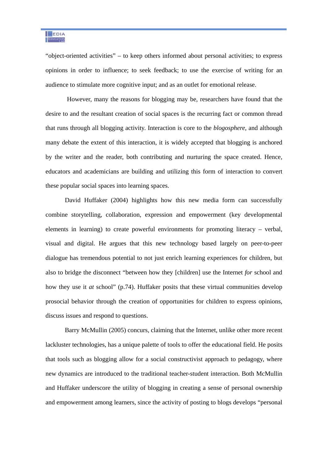"object-oriented activities" – to keep others informed about personal activities; to express opinions in order to influence; to seek feedback; to use the exercise of writing for an audience to stimulate more cognitive input; and as an outlet for emotional release.

 However, many the reasons for blogging may be, researchers have found that the desire to and the resultant creation of social spaces is the recurring fact or common thread that runs through all blogging activity. Interaction is core to the *blogosphere*, and although many debate the extent of this interaction, it is widely accepted that blogging is anchored by the writer and the reader, both contributing and nurturing the space created. Hence, educators and academicians are building and utilizing this form of interaction to convert these popular social spaces into learning spaces.

David Huffaker (2004) highlights how this new media form can successfully combine storytelling, collaboration, expression and empowerment (key developmental elements in learning) to create powerful environments for promoting literacy – verbal, visual and digital. He argues that this new technology based largely on peer-to-peer dialogue has tremendous potential to not just enrich learning experiences for children, but also to bridge the disconnect "between how they [children] use the Internet *for* school and how they use it *at* school" (p.74). Huffaker posits that these virtual communities develop prosocial behavior through the creation of opportunities for children to express opinions, discuss issues and respond to questions.

Barry McMullin (2005) concurs, claiming that the Internet, unlike other more recent lackluster technologies, has a unique palette of tools to offer the educational field. He posits that tools such as blogging allow for a social constructivist approach to pedagogy, where new dynamics are introduced to the traditional teacher-student interaction. Both McMullin and Huffaker underscore the utility of blogging in creating a sense of personal ownership and empowerment among learners, since the activity of posting to blogs develops "personal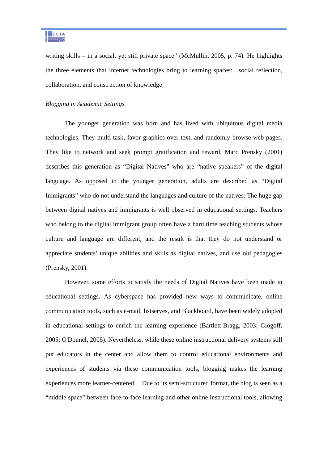writing skills – in a social, yet still private space" (McMullin, 2005, p. 74). He highlights the three elements that Internet technologies bring to learning spaces: social reflection, collaboration, and construction of knowledge.

#### *Blogging in Academic Settings*

The younger generation was born and has lived with ubiquitous digital media technologies. They multi-task, favor graphics over text, and randomly browse web pages. They like to network and seek prompt gratification and reward. Marc Prensky (2001) describes this generation as "Digital Natives" who are "native speakers" of the digital language. As opposed to the younger generation, adults are described as "Digital" Immigrants" who do not understand the languages and culture of the natives. The huge gap between digital natives and immigrants is well observed in educational settings. Teachers who belong to the digital immigrant group often have a hard time teaching students whose culture and language are different, and the result is that they do not understand or appreciate students' unique abilities and skills as digital natives, and use old pedagogies (Prensky, 2001).

However, some efforts to satisfy the needs of Digital Natives have been made in educational settings. As cyberspace has provided new ways to communicate, online communication tools, such as e-mail, listserves, and Blackboard, have been widely adopted in educational settings to enrich the learning experience (Bartlett-Bragg, 2003; Glogoff, 2005; O'Donnel, 2005). Nevertheless, while these online instructional delivery systems still put educators in the center and allow them to control educational environments and experiences of students via these communication tools, blogging makes the learning experiences more learner-centered. Due to its semi-structured format, the blog is seen as a "middle space" between face-to-face learning and other online instructional tools, allowing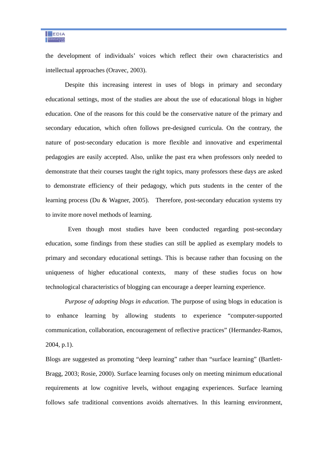the development of individuals' voices which reflect their own characteristics and intellectual approaches (Oravec, 2003).

Despite this increasing interest in uses of blogs in primary and secondary educational settings, most of the studies are about the use of educational blogs in higher education. One of the reasons for this could be the conservative nature of the primary and secondary education, which often follows pre-designed curricula. On the contrary, the nature of post-secondary education is more flexible and innovative and experimental pedagogies are easily accepted. Also, unlike the past era when professors only needed to demonstrate that their courses taught the right topics, many professors these days are asked to demonstrate efficiency of their pedagogy, which puts students in the center of the learning process (Du & Wagner, 2005). Therefore, post-secondary education systems try to invite more novel methods of learning.

 Even though most studies have been conducted regarding post-secondary education, some findings from these studies can still be applied as exemplary models to primary and secondary educational settings. This is because rather than focusing on the uniqueness of higher educational contexts, many of these studies focus on how technological characteristics of blogging can encourage a deeper learning experience.

*Purpose of adopting blogs in education*. The purpose of using blogs in education is to enhance learning by allowing students to experience "computer-supported communication, collaboration, encouragement of reflective practices" (Hermandez-Ramos, 2004, p.1).

Blogs are suggested as promoting "deep learning" rather than "surface learning" (Bartlett-Bragg, 2003; Rosie, 2000). Surface learning focuses only on meeting minimum educational requirements at low cognitive levels, without engaging experiences. Surface learning follows safe traditional conventions avoids alternatives. In this learning environment,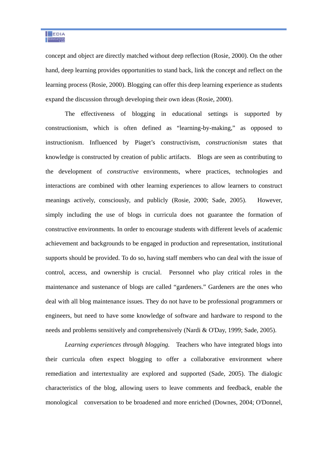concept and object are directly matched without deep reflection (Rosie, 2000). On the other hand, deep learning provides opportunities to stand back, link the concept and reflect on the learning process (Rosie, 2000). Blogging can offer this deep learning experience as students expand the discussion through developing their own ideas (Rosie, 2000).

The effectiveness of blogging in educational settings is supported by constructionism, which is often defined as "learning-by-making," as opposed to instructionism. Influenced by Piaget's constructivism, *constructionism* states that knowledge is constructed by creation of public artifacts. Blogs are seen as contributing to the development of *constructive* environments, where practices, technologies and interactions are combined with other learning experiences to allow learners to construct meanings actively, consciously, and publicly (Rosie, 2000; Sade, 2005). However, simply including the use of blogs in curricula does not guarantee the formation of constructive environments. In order to encourage students with different levels of academic achievement and backgrounds to be engaged in production and representation, institutional supports should be provided. To do so, having staff members who can deal with the issue of control, access, and ownership is crucial. Personnel who play critical roles in the maintenance and sustenance of blogs are called "gardeners." Gardeners are the ones who deal with all blog maintenance issues. They do not have to be professional programmers or engineers, but need to have some knowledge of software and hardware to respond to the needs and problems sensitively and comprehensively (Nardi & O'Day, 1999; Sade, 2005).

*Learning experiences through blogging.* Teachers who have integrated blogs into their curricula often expect blogging to offer a collaborative environment where remediation and intertextuality are explored and supported (Sade, 2005). The dialogic characteristics of the blog, allowing users to leave comments and feedback, enable the monological conversation to be broadened and more enriched (Downes, 2004; O'Donnel,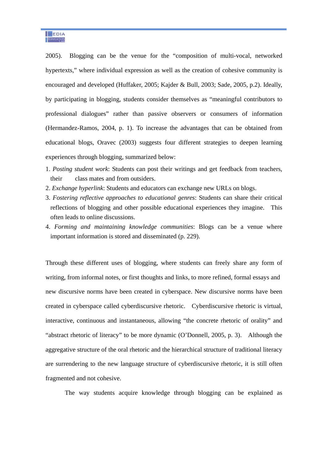2005). Blogging can be the venue for the "composition of multi-vocal, networked hypertexts," where individual expression as well as the creation of cohesive community is encouraged and developed (Huffaker, 2005; Kajder & Bull, 2003; Sade, 2005, p.2). Ideally, by participating in blogging, students consider themselves as "meaningful contributors to professional dialogues" rather than passive observers or consumers of information (Hermandez-Ramos, 2004, p. 1). To increase the advantages that can be obtained from educational blogs, Oravec (2003) suggests four different strategies to deepen learning experiences through blogging, summarized below:

- 1. *Posting student work*: Students can post their writings and get feedback from teachers, their class mates and from outsiders.
- 2. *Exchange hyperlink*: Students and educators can exchange new URLs on blogs.
- 3. *Fostering reflective approaches to educational genres*: Students can share their critical reflections of blogging and other possible educational experiences they imagine. This often leads to online discussions.
- 4. *Forming and maintaining knowledge communities*: Blogs can be a venue where important information is stored and disseminated (p. 229).

Through these different uses of blogging, where students can freely share any form of writing, from informal notes, or first thoughts and links, to more refined, formal essays and new discursive norms have been created in cyberspace. New discursive norms have been created in cyberspace called cyberdiscursive rhetoric. Cyberdiscursive rhetoric is virtual, interactive, continuous and instantaneous, allowing "the concrete rhetoric of orality" and "abstract rhetoric of literacy" to be more dynamic (O'Donnell, 2005, p. 3). Although the aggregative structure of the oral rhetoric and the hierarchical structure of traditional literacy are surrendering to the new language structure of cyberdiscursive rhetoric, it is still often fragmented and not cohesive.

The way students acquire knowledge through blogging can be explained as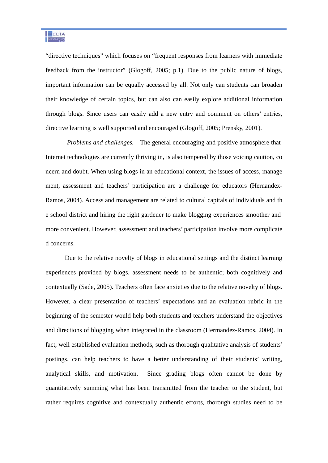"directive techniques" which focuses on "frequent responses from learners with immediate feedback from the instructor" (Glogoff, 2005; p.1). Due to the public nature of blogs, important information can be equally accessed by all. Not only can students can broaden their knowledge of certain topics, but can also can easily explore additional information through blogs. Since users can easily add a new entry and comment on others' entries, directive learning is well supported and encouraged (Glogoff, 2005; Prensky, 2001).

 *Problems and challenges.* The general encouraging and positive atmosphere that Internet technologies are currently thriving in, is also tempered by those voicing caution, co ncern and doubt. When using blogs in an educational context, the issues of access, manage ment, assessment and teachers' participation are a challenge for educators (Hernandex-Ramos, 2004). Access and management are related to cultural capitals of individuals and th e school district and hiring the right gardener to make blogging experiences smoother and more convenient. However, assessment and teachers' participation involve more complicate d concerns.

Due to the relative novelty of blogs in educational settings and the distinct learning experiences provided by blogs, assessment needs to be authentic; both cognitively and contextually (Sade, 2005). Teachers often face anxieties due to the relative novelty of blogs. However, a clear presentation of teachers' expectations and an evaluation rubric in the beginning of the semester would help both students and teachers understand the objectives and directions of blogging when integrated in the classroom (Hermandez-Ramos, 2004). In fact, well established evaluation methods, such as thorough qualitative analysis of students' postings, can help teachers to have a better understanding of their students' writing, analytical skills, and motivation. Since grading blogs often cannot be done by quantitatively summing what has been transmitted from the teacher to the student, but rather requires cognitive and contextually authentic efforts, thorough studies need to be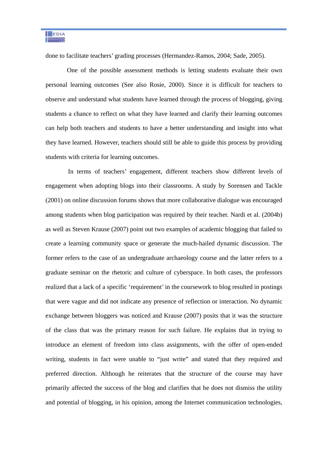done to facilitate teachers' grading processes (Hermandez-Ramos, 2004; Sade, 2005).

 One of the possible assessment methods is letting students evaluate their own personal learning outcomes (See also Rosie, 2000). Since it is difficult for teachers to observe and understand what students have learned through the process of blogging, giving students a chance to reflect on what they have learned and clarify their learning outcomes can help both teachers and students to have a better understanding and insight into what they have learned. However, teachers should still be able to guide this process by providing students with criteria for learning outcomes.

 In terms of teachers' engagement, different teachers show different levels of engagement when adopting blogs into their classrooms. A study by Sorensen and Tackle (2001) on online discussion forums shows that more collaborative dialogue was encouraged among students when blog participation was required by their teacher. Nardi et al. (2004b) as well as Steven Krause (2007) point out two examples of academic blogging that failed to create a learning community space or generate the much-hailed dynamic discussion. The former refers to the case of an undergraduate archaeology course and the latter refers to a graduate seminar on the rhetoric and culture of cyberspace. In both cases, the professors realized that a lack of a specific 'requirement' in the coursework to blog resulted in postings that were vague and did not indicate any presence of reflection or interaction. No dynamic exchange between bloggers was noticed and Krause (2007) posits that it was the structure of the class that was the primary reason for such failure. He explains that in trying to introduce an element of freedom into class assignments, with the offer of open-ended writing, students in fact were unable to "just write" and stated that they required and preferred direction. Although he reiterates that the structure of the course may have primarily affected the success of the blog and clarifies that he does not dismiss the utility and potential of blogging, in his opinion, among the Internet communication technologies,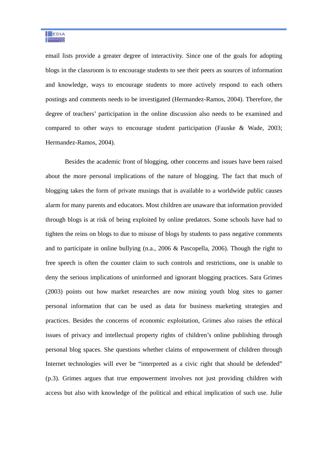email lists provide a greater degree of interactivity. Since one of the goals for adopting blogs in the classroom is to encourage students to see their peers as sources of information and knowledge, ways to encourage students to more actively respond to each others postings and comments needs to be investigated (Hermandez-Ramos, 2004). Therefore, the degree of teachers' participation in the online discussion also needs to be examined and compared to other ways to encourage student participation (Fauske & Wade, 2003; Hermandez-Ramos, 2004).

Besides the academic front of blogging, other concerns and issues have been raised about the more personal implications of the nature of blogging. The fact that much of blogging takes the form of private musings that is available to a worldwide public causes alarm for many parents and educators. Most children are unaware that information provided through blogs is at risk of being exploited by online predators. Some schools have had to tighten the reins on blogs to due to misuse of blogs by students to pass negative comments and to participate in online bullying (n.a., 2006 & Pascopella, 2006). Though the right to free speech is often the counter claim to such controls and restrictions, one is unable to deny the serious implications of uninformed and ignorant blogging practices. Sara Grimes (2003) points out how market researches are now mining youth blog sites to garner personal information that can be used as data for business marketing strategies and practices. Besides the concerns of economic exploitation, Grimes also raises the ethical issues of privacy and intellectual property rights of children's online publishing through personal blog spaces. She questions whether claims of empowerment of children through Internet technologies will ever be "interpreted as a civic right that should be defended" (p.3). Grimes argues that true empowerment involves not just providing children with access but also with knowledge of the political and ethical implication of such use. Julie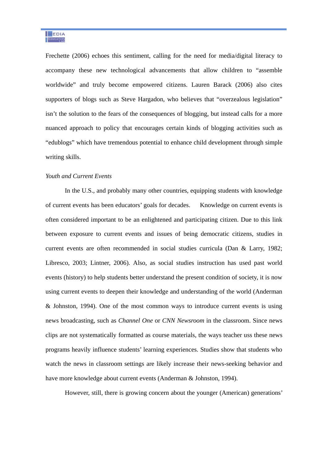Frechette (2006) echoes this sentiment, calling for the need for media/digital literacy to accompany these new technological advancements that allow children to "assemble worldwide" and truly become empowered citizens. Lauren Barack (2006) also cites supporters of blogs such as Steve Hargadon, who believes that "overzealous legislation" isn't the solution to the fears of the consequences of blogging, but instead calls for a more nuanced approach to policy that encourages certain kinds of blogging activities such as "edublogs" which have tremendous potential to enhance child development through simple writing skills.

#### *Youth and Current Events*

In the U.S., and probably many other countries, equipping students with knowledge of current events has been educators' goals for decades. Knowledge on current events is often considered important to be an enlightened and participating citizen. Due to this link between exposure to current events and issues of being democratic citizens, studies in current events are often recommended in social studies curricula (Dan & Larry, 1982; Libresco, 2003; Lintner, 2006). Also, as social studies instruction has used past world events (history) to help students better understand the present condition of society, it is now using current events to deepen their knowledge and understanding of the world (Anderman & Johnston, 1994). One of the most common ways to introduce current events is using news broadcasting, such as *Channel One* or *CNN Newsroom* in the classroom. Since news clips are not systematically formatted as course materials, the ways teacher uss these news programs heavily influence students' learning experiences. Studies show that students who watch the news in classroom settings are likely increase their news-seeking behavior and have more knowledge about current events (Anderman & Johnston, 1994).

However, still, there is growing concern about the younger (American) generations'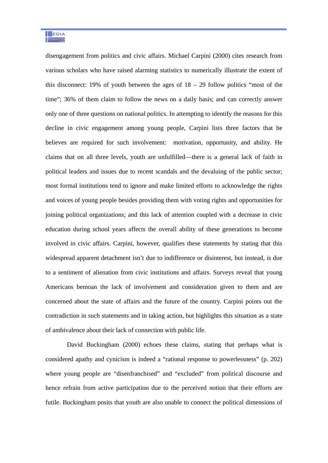disengagement from politics and civic affairs. Michael Carpini (2000) cites research from various scholars who have raised alarming statistics to numerically illustrate the extent of this disconnect: 19% of youth between the ages of  $18 - 29$  follow politics "most of the time"; 36% of them claim to follow the news on a daily basis; and can correctly answer only one of three questions on national politics. In attempting to identify the reasons for this decline in civic engagement among young people, Carpini lists three factors that he believes are required for such involvement: motivation, opportunity, and ability. He claims that on all three levels, youth are unfulfilled—there is a general lack of faith in political leaders and issues due to recent scandals and the devaluing of the public sector; most formal institutions tend to ignore and make limited efforts to acknowledge the rights and voices of young people besides providing them with voting rights and opportunities for joining political organizations; and this lack of attention coupled with a decrease in civic education during school years affects the overall ability of these generations to become involved in civic affairs. Carpini, however, qualifies these statements by stating that this widespread apparent detachment isn't due to indifference or disinterest, but instead, is due to a sentiment of alienation from civic institutions and affairs. Surveys reveal that young Americans bemoan the lack of involvement and consideration given to them and are concerned about the state of affairs and the future of the country. Carpini points out the contradiction in such statements and in taking action, but highlights this situation as a state of ambivalence about their lack of connection with public life.

 David Buckingham (2000) echoes these claims, stating that perhaps what is considered apathy and cynicism is indeed a "rational response to powerlessness" (p. 202) where young people are "disenfranchised" and "excluded" from political discourse and hence refrain from active participation due to the perceived notion that their efforts are futile. Buckingham posits that youth are also unable to connect the political dimensions of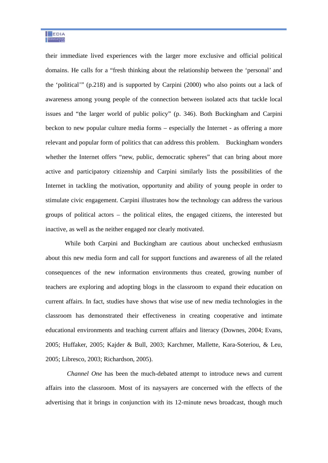their immediate lived experiences with the larger more exclusive and official political domains. He calls for a "fresh thinking about the relationship between the 'personal' and the 'political'" (p.218) and is supported by Carpini (2000) who also points out a lack of awareness among young people of the connection between isolated acts that tackle local issues and "the larger world of public policy" (p. 346). Both Buckingham and Carpini beckon to new popular culture media forms – especially the Internet - as offering a more relevant and popular form of politics that can address this problem. Buckingham wonders whether the Internet offers "new, public, democratic spheres" that can bring about more active and participatory citizenship and Carpini similarly lists the possibilities of the Internet in tackling the motivation, opportunity and ability of young people in order to stimulate civic engagement. Carpini illustrates how the technology can address the various groups of political actors – the political elites, the engaged citizens, the interested but inactive, as well as the neither engaged nor clearly motivated.

While both Carpini and Buckingham are cautious about unchecked enthusiasm about this new media form and call for support functions and awareness of all the related consequences of the new information environments thus created, growing number of teachers are exploring and adopting blogs in the classroom to expand their education on current affairs. In fact, studies have shows that wise use of new media technologies in the classroom has demonstrated their effectiveness in creating cooperative and intimate educational environments and teaching current affairs and literacy (Downes, 2004; Evans, 2005; Huffaker, 2005; Kajder & Bull, 2003; Karchmer, Mallette, Kara-Soteriou, & Leu, 2005; Libresco, 2003; Richardson, 2005).

*Channel One* has been the much-debated attempt to introduce news and current affairs into the classroom. Most of its naysayers are concerned with the effects of the advertising that it brings in conjunction with its 12-minute news broadcast, though much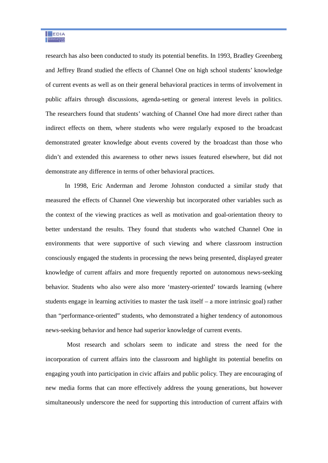research has also been conducted to study its potential benefits. In 1993, Bradley Greenberg and Jeffrey Brand studied the effects of Channel One on high school students' knowledge of current events as well as on their general behavioral practices in terms of involvement in public affairs through discussions, agenda-setting or general interest levels in politics. The researchers found that students' watching of Channel One had more direct rather than indirect effects on them, where students who were regularly exposed to the broadcast demonstrated greater knowledge about events covered by the broadcast than those who didn't and extended this awareness to other news issues featured elsewhere, but did not demonstrate any difference in terms of other behavioral practices.

In 1998, Eric Anderman and Jerome Johnston conducted a similar study that measured the effects of Channel One viewership but incorporated other variables such as the context of the viewing practices as well as motivation and goal-orientation theory to better understand the results. They found that students who watched Channel One in environments that were supportive of such viewing and where classroom instruction consciously engaged the students in processing the news being presented, displayed greater knowledge of current affairs and more frequently reported on autonomous news-seeking behavior. Students who also were also more 'mastery-oriented' towards learning (where students engage in learning activities to master the task itself – a more intrinsic goal) rather than "performance-oriented" students, who demonstrated a higher tendency of autonomous news-seeking behavior and hence had superior knowledge of current events.

 Most research and scholars seem to indicate and stress the need for the incorporation of current affairs into the classroom and highlight its potential benefits on engaging youth into participation in civic affairs and public policy. They are encouraging of new media forms that can more effectively address the young generations, but however simultaneously underscore the need for supporting this introduction of current affairs with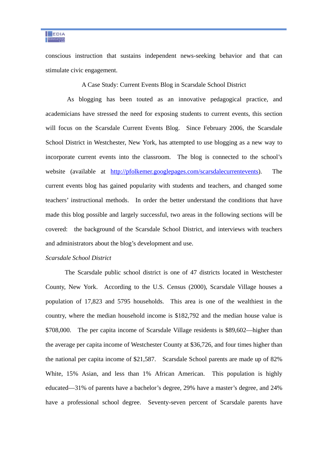conscious instruction that sustains independent news-seeking behavior and that can stimulate civic engagement.

A Case Study: Current Events Blog in Scarsdale School District

 As blogging has been touted as an innovative pedagogical practice, and academicians have stressed the need for exposing students to current events, this section will focus on the Scarsdale Current Events Blog. Since February 2006, the Scarsdale School District in Westchester, New York, has attempted to use blogging as a new way to incorporate current events into the classroom. The blog is connected to the school's website (available at http://pfolkemer.googlepages.com/scarsdalecurrentevents). The current events blog has gained popularity with students and teachers, and changed some teachers' instructional methods. In order the better understand the conditions that have made this blog possible and largely successful, two areas in the following sections will be covered: the background of the Scarsdale School District, and interviews with teachers and administrators about the blog's development and use.

#### *Scarsdale School District*

The Scarsdale public school district is one of 47 districts located in Westchester County, New York. According to the U.S. Census (2000), Scarsdale Village houses a population of 17,823 and 5795 households. This area is one of the wealthiest in the country, where the median household income is \$182,792 and the median house value is \$708,000. The per capita income of Scarsdale Village residents is \$89,602—higher than the average per capita income of Westchester County at \$36,726, and four times higher than the national per capita income of \$21,587. Scarsdale School parents are made up of 82% White, 15% Asian, and less than 1% African American. This population is highly educated—31% of parents have a bachelor's degree, 29% have a master's degree, and 24% have a professional school degree. Seventy-seven percent of Scarsdale parents have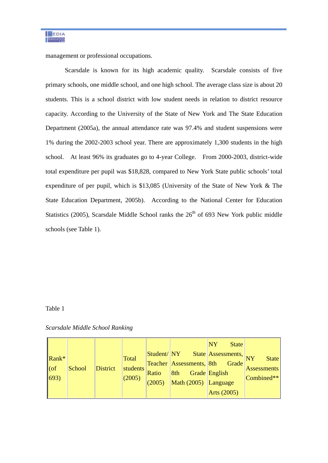management or professional occupations.

Scarsdale is known for its high academic quality. Scarsdale consists of five primary schools, one middle school, and one high school. The average class size is about 20 students. This is a school district with low student needs in relation to district resource capacity. According to the University of the State of New York and The State Education Department (2005a), the annual attendance rate was 97.4% and student suspensions were 1% during the 2002-2003 school year. There are approximately 1,300 students in the high school. At least 96% its graduates go to 4-year College. From 2000-2003, district-wide total expenditure per pupil was \$18,828, compared to New York State public schools' total expenditure of per pupil, which is \$13,085 (University of the State of New York & The State Education Department, 2005b). According to the National Center for Education Statistics (2005), Scarsdale Middle School ranks the  $26<sup>th</sup>$  of 693 New York public middle schools (see Table 1).

#### Table 1

#### *Scarsdale Middle School Ranking*

| $\mathsf{Rank}^*$<br> o(f) <br> 693) | School | <b>District</b> | Total<br>students<br>(2005) | Student/NY<br>Ratio<br>(2005) | Teacher Assessments, 8th<br>8th<br>Math (2005) Language | NY<br><b>State</b><br>State Assessments, NY<br>Grade<br>Grade English | <b>State</b><br><b>Assessments</b><br>Combined** |
|--------------------------------------|--------|-----------------|-----------------------------|-------------------------------|---------------------------------------------------------|-----------------------------------------------------------------------|--------------------------------------------------|
|                                      |        |                 |                             |                               |                                                         |                                                                       |                                                  |
|                                      |        |                 |                             |                               |                                                         | Arts (2005)                                                           |                                                  |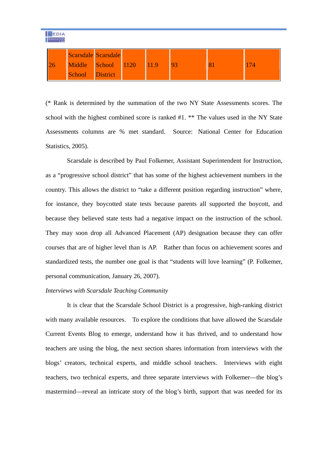| MEDIA<br><b>EDUCATION</b> |                 |                     |  |      |  |  |  |  |  |  |  |
|---------------------------|-----------------|---------------------|--|------|--|--|--|--|--|--|--|
|                           |                 | Scarsdale Scarsdale |  |      |  |  |  |  |  |  |  |
| 26                        |                 | Middle School 1120  |  | 11.9 |  |  |  |  |  |  |  |
|                           | School District |                     |  |      |  |  |  |  |  |  |  |

(\* Rank is determined by the summation of the two NY State Assessments scores. The school with the highest combined score is ranked #1. \*\* The values used in the NY State Assessments columns are % met standard. Source: National Center for Education Statistics, 2005).

 Scarsdale is described by Paul Folkemer, Assistant Superintendent for Instruction, as a "progressive school district" that has some of the highest achievement numbers in the country. This allows the district to "take a different position regarding instruction" where, for instance, they boycotted state tests because parents all supported the boycott, and because they believed state tests had a negative impact on the instruction of the school. They may soon drop all Advanced Placement (AP) designation because they can offer courses that are of higher level than is AP. Rather than focus on achievement scores and standardized tests, the number one goal is that "students will love learning" (P. Folkemer, personal communication, January 26, 2007).

#### *Interviews with Scarsdale Teaching Community*

 It is clear that the Scarsdale School District is a progressive, high-ranking district with many available resources. To explore the conditions that have allowed the Scarsdale Current Events Blog to emerge, understand how it has thrived, and to understand how teachers are using the blog, the next section shares information from interviews with the blogs' creators, technical experts, and middle school teachers. Interviews with eight teachers, two technical experts, and three separate interviews with Folkemer—the blog's mastermind—reveal an intricate story of the blog's birth, support that was needed for its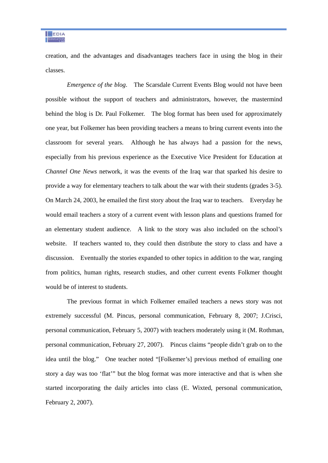

creation, and the advantages and disadvantages teachers face in using the blog in their classes.

*Emergence of the blog*. The Scarsdale Current Events Blog would not have been possible without the support of teachers and administrators, however, the mastermind behind the blog is Dr. Paul Folkemer. The blog format has been used for approximately one year, but Folkemer has been providing teachers a means to bring current events into the classroom for several years. Although he has always had a passion for the news, especially from his previous experience as the Executive Vice President for Education at *Channel One News* network, it was the events of the Iraq war that sparked his desire to provide a way for elementary teachers to talk about the war with their students (grades 3-5). On March 24, 2003, he emailed the first story about the Iraq war to teachers. Everyday he would email teachers a story of a current event with lesson plans and questions framed for an elementary student audience. A link to the story was also included on the school's website. If teachers wanted to, they could then distribute the story to class and have a discussion. Eventually the stories expanded to other topics in addition to the war, ranging from politics, human rights, research studies, and other current events Folkmer thought would be of interest to students.

 The previous format in which Folkemer emailed teachers a news story was not extremely successful (M. Pincus, personal communication, February 8, 2007; J.Crisci, personal communication, February 5, 2007) with teachers moderately using it (M. Rothman, personal communication, February 27, 2007). Pincus claims "people didn't grab on to the idea until the blog." One teacher noted "[Folkemer's] previous method of emailing one story a day was too 'flat'" but the blog format was more interactive and that is when she started incorporating the daily articles into class (E. Wixted, personal communication, February 2, 2007).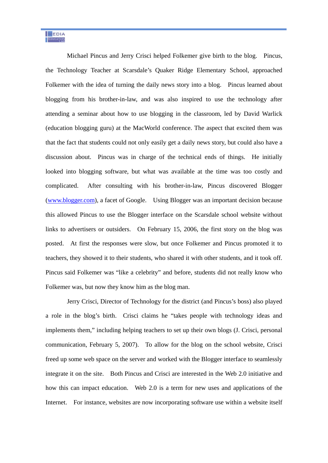Michael Pincus and Jerry Crisci helped Folkemer give birth to the blog. Pincus, the Technology Teacher at Scarsdale's Quaker Ridge Elementary School, approached Folkemer with the idea of turning the daily news story into a blog. Pincus learned about blogging from his brother-in-law, and was also inspired to use the technology after attending a seminar about how to use blogging in the classroom, led by David Warlick (education blogging guru) at the MacWorld conference. The aspect that excited them was that the fact that students could not only easily get a daily news story, but could also have a discussion about. Pincus was in charge of the technical ends of things. He initially looked into blogging software, but what was available at the time was too costly and complicated. After consulting with his brother-in-law, Pincus discovered Blogger (www.blogger.com), a facet of Google. Using Blogger was an important decision because this allowed Pincus to use the Blogger interface on the Scarsdale school website without links to advertisers or outsiders. On February 15, 2006, the first story on the blog was posted. At first the responses were slow, but once Folkemer and Pincus promoted it to teachers, they showed it to their students, who shared it with other students, and it took off. Pincus said Folkemer was "like a celebrity" and before, students did not really know who Folkemer was, but now they know him as the blog man.

 Jerry Crisci, Director of Technology for the district (and Pincus's boss) also played a role in the blog's birth. Crisci claims he "takes people with technology ideas and implements them," including helping teachers to set up their own blogs (J. Crisci, personal communication, February 5, 2007). To allow for the blog on the school website, Crisci freed up some web space on the server and worked with the Blogger interface to seamlessly integrate it on the site. Both Pincus and Crisci are interested in the Web 2.0 initiative and how this can impact education. Web 2.0 is a term for new uses and applications of the Internet. For instance, websites are now incorporating software use within a website itself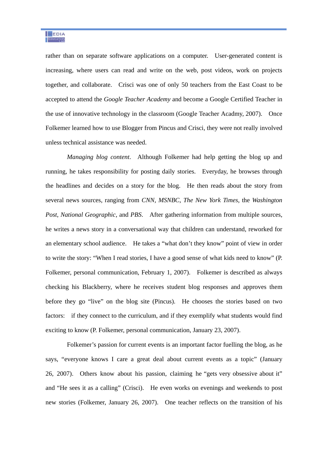rather than on separate software applications on a computer. User-generated content is increasing, where users can read and write on the web, post videos, work on projects together, and collaborate. Crisci was one of only 50 teachers from the East Coast to be accepted to attend the *Google Teacher Academy* and become a Google Certified Teacher in the use of innovative technology in the classroom (Google Teacher Acadmy, 2007). Once Folkemer learned how to use Blogger from Pincus and Crisci, they were not really involved unless technical assistance was needed.

*Managing blog content*. Although Folkemer had help getting the blog up and running, he takes responsibility for posting daily stories. Everyday, he browses through the headlines and decides on a story for the blog. He then reads about the story from several news sources, ranging from *CNN*, *MSNBC*, *The New York Times*, the *Washington Post*, *National Geographic*, and *PBS*. After gathering information from multiple sources, he writes a news story in a conversational way that children can understand, reworked for an elementary school audience. He takes a "what don't they know" point of view in order to write the story: "When I read stories, I have a good sense of what kids need to know" (P. Folkemer, personal communication, February 1, 2007). Folkemer is described as always checking his Blackberry, where he receives student blog responses and approves them before they go "live" on the blog site (Pincus). He chooses the stories based on two factors: if they connect to the curriculum, and if they exemplify what students would find exciting to know (P. Folkemer, personal communication, January 23, 2007).

 Folkemer's passion for current events is an important factor fuelling the blog, as he says, "everyone knows I care a great deal about current events as a topic" (January 26, 2007). Others know about his passion, claiming he "gets very obsessive about it" and "He sees it as a calling" (Crisci). He even works on evenings and weekends to post new stories (Folkemer, January 26, 2007). One teacher reflects on the transition of his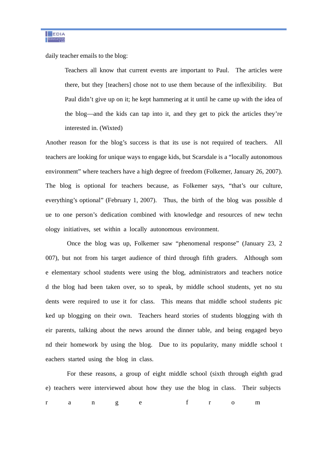daily teacher emails to the blog:

Teachers all know that current events are important to Paul. The articles were there, but they [teachers] chose not to use them because of the inflexibility. But Paul didn't give up on it; he kept hammering at it until he came up with the idea of the blog—and the kids can tap into it, and they get to pick the articles they're interested in. (Wixted)

Another reason for the blog's success is that its use is not required of teachers. All teachers are looking for unique ways to engage kids, but Scarsdale is a "locally autonomous environment" where teachers have a high degree of freedom (Folkemer, January 26, 2007). The blog is optional for teachers because, as Folkemer says, "that's our culture, everything's optional" (February 1, 2007). Thus, the birth of the blog was possible d ue to one person's dedication combined with knowledge and resources of new techn ology initiatives, set within a locally autonomous environment.

Once the blog was up, Folkemer saw "phenomenal response" (January 23, 2 007), but not from his target audience of third through fifth graders. Although som e elementary school students were using the blog, administrators and teachers notice d the blog had been taken over, so to speak, by middle school students, yet no stu dents were required to use it for class. This means that middle school students pic ked up blogging on their own. Teachers heard stories of students blogging with th eir parents, talking about the news around the dinner table, and being engaged beyo nd their homework by using the blog. Due to its popularity, many middle school t eachers started using the blog in class.

 For these reasons, a group of eight middle school (sixth through eighth grad e) teachers were interviewed about how they use the blog in class. Their subjects range from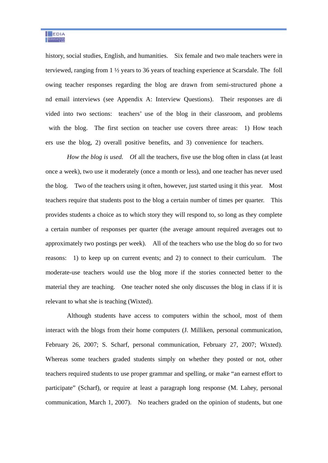history, social studies, English, and humanities. Six female and two male teachers were in terviewed, ranging from 1 ½ years to 36 years of teaching experience at Scarsdale. The foll owing teacher responses regarding the blog are drawn from semi-structured phone a nd email interviews (see Appendix A: Interview Questions). Their responses are di vided into two sections: teachers' use of the blog in their classroom, and problems with the blog. The first section on teacher use covers three areas: 1) How teach ers use the blog, 2) overall positive benefits, and 3) convenience for teachers.

 *How the blog is used. O*f all the teachers, five use the blog often in class (at least once a week), two use it moderately (once a month or less), and one teacher has never used the blog. Two of the teachers using it often, however, just started using it this year. Most teachers require that students post to the blog a certain number of times per quarter. This provides students a choice as to which story they will respond to, so long as they complete a certain number of responses per quarter (the average amount required averages out to approximately two postings per week). All of the teachers who use the blog do so for two reasons: 1) to keep up on current events; and 2) to connect to their curriculum. The moderate-use teachers would use the blog more if the stories connected better to the material they are teaching. One teacher noted she only discusses the blog in class if it is relevant to what she is teaching (Wixted).

 Although students have access to computers within the school, most of them interact with the blogs from their home computers (J. Milliken, personal communication, February 26, 2007; S. Scharf, personal communication, February 27, 2007; Wixted). Whereas some teachers graded students simply on whether they posted or not, other teachers required students to use proper grammar and spelling, or make "an earnest effort to participate" (Scharf), or require at least a paragraph long response (M. Lahey, personal communication, March 1, 2007). No teachers graded on the opinion of students, but one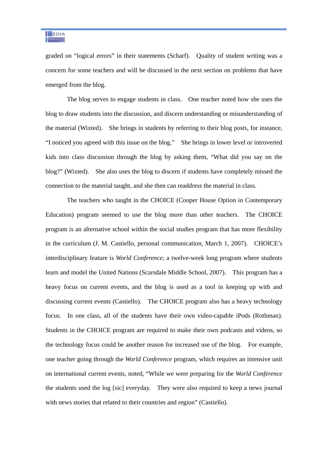graded on "logical errors" in their statements (Scharf). Quality of student writing was a concern for some teachers and will be discussed in the next section on problems that have emerged from the blog.

 The blog serves to engage students in class. One teacher noted how she uses the blog to draw students into the discussion, and discern understanding or misunderstanding of the material (Wixted). She brings in students by referring to their blog posts, for instance, "I noticed you agreed with this issue on the blog." She brings in lower level or introverted kids into class discussion through the blog by asking them, "What did you say on the blog?" (Wixted). She also uses the blog to discern if students have completely missed the connection to the material taught, and she then can readdress the material in class.

 The teachers who taught in the CHOICE (Cooper House Option in Contemporary Education) program seemed to use the blog more than other teachers. The CHOICE program is an alternative school within the social studies program that has more flexibility in the curriculum (J. M. Castiello, personal communication, March 1, 2007). CHOICE's interdisciplinary feature is *World Conference*; a twelve-week long program where students learn and model the United Nations (Scarsdale Middle School, 2007). This program has a heavy focus on current events, and the blog is used as a tool in keeping up with and discussing current events (Castiello). The CHOICE program also has a heavy technology focus. In one class, all of the students have their own video-capable iPods (Rothman). Students in the CHOICE program are required to make their own podcasts and videos, so the technology focus could be another reason for increased use of the blog. For example, one teacher going through the *World Conference* program, which requires an intensive unit on international current events, noted, "While we were preparing for the *World Conference* the students used the log [sic] everyday. They were also required to keep a news journal with news stories that related to their countries and region" (Castiello).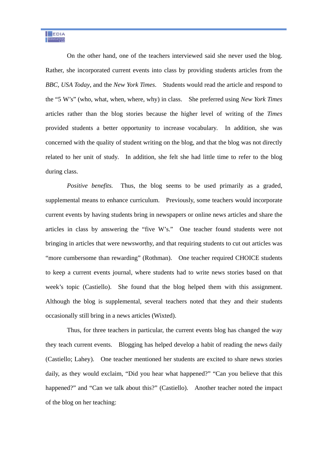On the other hand, one of the teachers interviewed said she never used the blog. Rather, she incorporated current events into class by providing students articles from the *BBC*, *USA Today*, and the *New York Times*. Students would read the article and respond to the "5 W's" (who, what, when, where, why) in class. She preferred using *New York Times* articles rather than the blog stories because the higher level of writing of the *Times* provided students a better opportunity to increase vocabulary. In addition, she was concerned with the quality of student writing on the blog, and that the blog was not directly related to her unit of study. In addition, she felt she had little time to refer to the blog during class.

*Positive benefits.* Thus, the blog seems to be used primarily as a graded, supplemental means to enhance curriculum. Previously, some teachers would incorporate current events by having students bring in newspapers or online news articles and share the articles in class by answering the "five W's." One teacher found students were not bringing in articles that were newsworthy, and that requiring students to cut out articles was "more cumbersome than rewarding" (Rothman). One teacher required CHOICE students to keep a current events journal, where students had to write news stories based on that week's topic (Castiello). She found that the blog helped them with this assignment. Although the blog is supplemental, several teachers noted that they and their students occasionally still bring in a news articles (Wixted).

 Thus, for three teachers in particular, the current events blog has changed the way they teach current events. Blogging has helped develop a habit of reading the news daily (Castiello; Lahey). One teacher mentioned her students are excited to share news stories daily, as they would exclaim, "Did you hear what happened?" "Can you believe that this happened?" and "Can we talk about this?" (Castiello). Another teacher noted the impact of the blog on her teaching: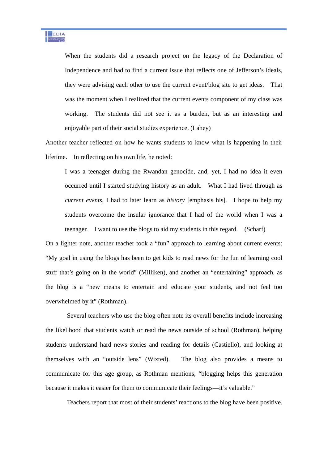When the students did a research project on the legacy of the Declaration of Independence and had to find a current issue that reflects one of Jefferson's ideals, they were advising each other to use the current event/blog site to get ideas. That was the moment when I realized that the current events component of my class was working. The students did not see it as a burden, but as an interesting and enjoyable part of their social studies experience. (Lahey)

Another teacher reflected on how he wants students to know what is happening in their lifetime. In reflecting on his own life, he noted:

I was a teenager during the Rwandan genocide, and, yet, I had no idea it even occurred until I started studying history as an adult. What I had lived through as *current events*, I had to later learn as *history* [emphasis his]. I hope to help my students overcome the insular ignorance that I had of the world when I was a teenager. I want to use the blogs to aid my students in this regard. (Scharf)

On a lighter note, another teacher took a "fun" approach to learning about current events: "My goal in using the blogs has been to get kids to read news for the fun of learning cool stuff that's going on in the world" (Milliken), and another an "entertaining" approach, as the blog is a "new means to entertain and educate your students, and not feel too overwhelmed by it" (Rothman).

 Several teachers who use the blog often note its overall benefits include increasing the likelihood that students watch or read the news outside of school (Rothman), helping students understand hard news stories and reading for details (Castiello), and looking at themselves with an "outside lens" (Wixted). The blog also provides a means to communicate for this age group, as Rothman mentions, "blogging helps this generation because it makes it easier for them to communicate their feelings—it's valuable."

Teachers report that most of their students' reactions to the blog have been positive.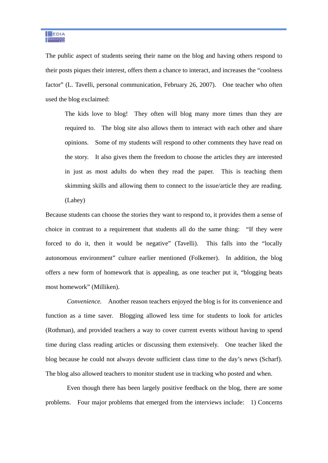The public aspect of students seeing their name on the blog and having others respond to their posts piques their interest, offers them a chance to interact, and increases the "coolness factor" (L. Tavelli, personal communication, February 26, 2007). One teacher who often used the blog exclaimed:

The kids love to blog! They often will blog many more times than they are required to. The blog site also allows them to interact with each other and share opinions. Some of my students will respond to other comments they have read on the story. It also gives them the freedom to choose the articles they are interested in just as most adults do when they read the paper. This is teaching them skimming skills and allowing them to connect to the issue/article they are reading. (Lahey)

Because students can choose the stories they want to respond to, it provides them a sense of choice in contrast to a requirement that students all do the same thing: "If they were forced to do it, then it would be negative" (Tavelli). This falls into the "locally autonomous environment" culture earlier mentioned (Folkemer). In addition, the blog offers a new form of homework that is appealing, as one teacher put it, "blogging beats most homework" (Milliken).

 *Convenience.* Another reason teachers enjoyed the blog is for its convenience and function as a time saver. Blogging allowed less time for students to look for articles (Rothman), and provided teachers a way to cover current events without having to spend time during class reading articles or discussing them extensively. One teacher liked the blog because he could not always devote sufficient class time to the day's news (Scharf). The blog also allowed teachers to monitor student use in tracking who posted and when.

 Even though there has been largely positive feedback on the blog, there are some problems. Four major problems that emerged from the interviews include: 1) Concerns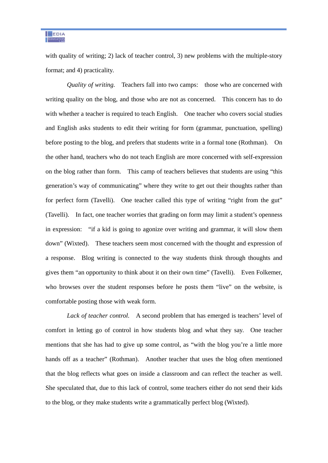with quality of writing; 2) lack of teacher control, 3) new problems with the multiple-story format; and 4) practicality.

*Quality of writing.* Teachers fall into two camps: those who are concerned with writing quality on the blog, and those who are not as concerned. This concern has to do with whether a teacher is required to teach English. One teacher who covers social studies and English asks students to edit their writing for form (grammar, punctuation, spelling) before posting to the blog, and prefers that students write in a formal tone (Rothman). On the other hand, teachers who do not teach English are more concerned with self-expression on the blog rather than form. This camp of teachers believes that students are using "this generation's way of communicating" where they write to get out their thoughts rather than for perfect form (Tavelli). One teacher called this type of writing "right from the gut" (Tavelli). In fact, one teacher worries that grading on form may limit a student's openness in expression: "if a kid is going to agonize over writing and grammar, it will slow them down" (Wixted). These teachers seem most concerned with the thought and expression of a response. Blog writing is connected to the way students think through thoughts and gives them "an opportunity to think about it on their own time" (Tavelli). Even Folkemer, who browses over the student responses before he posts them "live" on the website, is comfortable posting those with weak form.

 *Lack of teacher control.* A second problem that has emerged is teachers' level of comfort in letting go of control in how students blog and what they say. One teacher mentions that she has had to give up some control, as "with the blog you're a little more hands off as a teacher" (Rothman). Another teacher that uses the blog often mentioned that the blog reflects what goes on inside a classroom and can reflect the teacher as well. She speculated that, due to this lack of control, some teachers either do not send their kids to the blog, or they make students write a grammatically perfect blog (Wixted).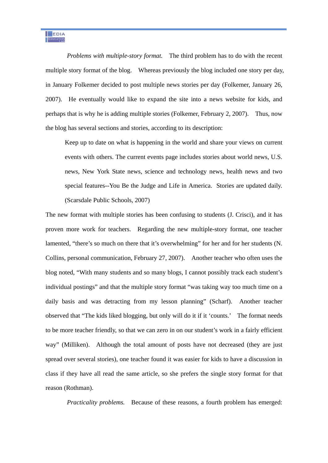*Problems with multiple-story format.* The third problem has to do with the recent multiple story format of the blog. Whereas previously the blog included one story per day, in January Folkemer decided to post multiple news stories per day (Folkemer, January 26, 2007). He eventually would like to expand the site into a news website for kids, and perhaps that is why he is adding multiple stories (Folkemer, February 2, 2007). Thus, now the blog has several sections and stories, according to its description:

Keep up to date on what is happening in the world and share your views on current events with others. The current events page includes stories about world news, U.S. news, New York State news, science and technology news, health news and two special features--You Be the Judge and Life in America. Stories are updated daily. (Scarsdale Public Schools, 2007)

The new format with multiple stories has been confusing to students (J. Crisci), and it has proven more work for teachers. Regarding the new multiple-story format, one teacher lamented, "there's so much on there that it's overwhelming" for her and for her students (N. Collins, personal communication, February 27, 2007). Another teacher who often uses the blog noted, "With many students and so many blogs, I cannot possibly track each student's individual postings" and that the multiple story format "was taking way too much time on a daily basis and was detracting from my lesson planning" (Scharf). Another teacher observed that "The kids liked blogging, but only will do it if it 'counts.' The format needs to be more teacher friendly, so that we can zero in on our student's work in a fairly efficient way" (Milliken). Although the total amount of posts have not decreased (they are just spread over several stories), one teacher found it was easier for kids to have a discussion in class if they have all read the same article, so she prefers the single story format for that reason (Rothman).

 *Practicality problems.* Because of these reasons, a fourth problem has emerged: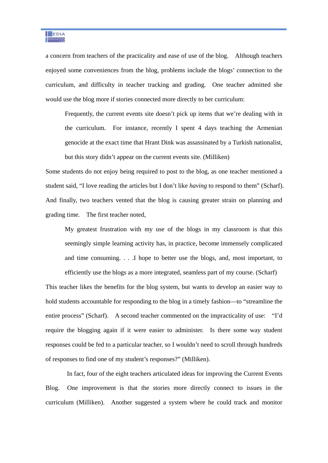

a concern from teachers of the practicality and ease of use of the blog. Although teachers enjoyed some conveniences from the blog, problems include the blogs' connection to the curriculum, and difficulty in teacher tracking and grading. One teacher admitted she would use the blog more if stories connected more directly to her curriculum:

Frequently, the current events site doesn't pick up items that we're dealing with in the curriculum. For instance, recently I spent 4 days teaching the Armenian genocide at the exact time that Hrant Dink was assassinated by a Turkish nationalist, but this story didn't appear on the current events site. (Milliken)

Some students do not enjoy being required to post to the blog, as one teacher mentioned a student said, "I love reading the articles but I don't like *having* to respond to them" (Scharf). And finally, two teachers vented that the blog is causing greater strain on planning and grading time. The first teacher noted,

My greatest frustration with my use of the blogs in my classroom is that this seemingly simple learning activity has, in practice, become immensely complicated and time consuming. . . .I hope to better use the blogs, and, most important, to

efficiently use the blogs as a more integrated, seamless part of my course. (Scharf)

This teacher likes the benefits for the blog system, but wants to develop an easier way to hold students accountable for responding to the blog in a timely fashion—to "streamline the entire process" (Scharf). A second teacher commented on the impracticality of use: "I'd require the blogging again if it were easier to administer. Is there some way student responses could be fed to a particular teacher, so I wouldn't need to scroll through hundreds of responses to find one of my student's responses?" (Milliken).

 In fact, four of the eight teachers articulated ideas for improving the Current Events Blog. One improvement is that the stories more directly connect to issues in the curriculum (Milliken). Another suggested a system where he could track and monitor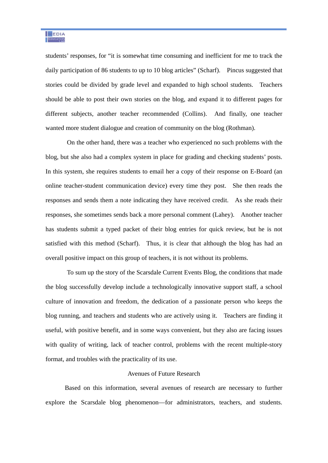students' responses, for "it is somewhat time consuming and inefficient for me to track the daily participation of 86 students to up to 10 blog articles" (Scharf). Pincus suggested that stories could be divided by grade level and expanded to high school students. Teachers should be able to post their own stories on the blog, and expand it to different pages for different subjects, another teacher recommended (Collins). And finally, one teacher wanted more student dialogue and creation of community on the blog (Rothman).

 On the other hand, there was a teacher who experienced no such problems with the blog, but she also had a complex system in place for grading and checking students' posts. In this system, she requires students to email her a copy of their response on E-Board (an online teacher-student communication device) every time they post. She then reads the responses and sends them a note indicating they have received credit. As she reads their responses, she sometimes sends back a more personal comment (Lahey). Another teacher has students submit a typed packet of their blog entries for quick review, but he is not satisfied with this method (Scharf). Thus, it is clear that although the blog has had an overall positive impact on this group of teachers, it is not without its problems.

 To sum up the story of the Scarsdale Current Events Blog, the conditions that made the blog successfully develop include a technologically innovative support staff, a school culture of innovation and freedom, the dedication of a passionate person who keeps the blog running, and teachers and students who are actively using it. Teachers are finding it useful, with positive benefit, and in some ways convenient, but they also are facing issues with quality of writing, lack of teacher control, problems with the recent multiple-story format, and troubles with the practicality of its use.

#### Avenues of Future Research

Based on this information, several avenues of research are necessary to further explore the Scarsdale blog phenomenon—for administrators, teachers, and students.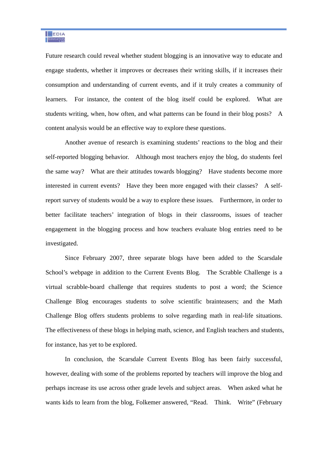Future research could reveal whether student blogging is an innovative way to educate and engage students, whether it improves or decreases their writing skills, if it increases their consumption and understanding of current events, and if it truly creates a community of learners. For instance, the content of the blog itself could be explored. What are students writing, when, how often, and what patterns can be found in their blog posts? A content analysis would be an effective way to explore these questions.

Another avenue of research is examining students' reactions to the blog and their self-reported blogging behavior. Although most teachers enjoy the blog, do students feel the same way? What are their attitudes towards blogging? Have students become more interested in current events? Have they been more engaged with their classes? A selfreport survey of students would be a way to explore these issues. Furthermore, in order to better facilitate teachers' integration of blogs in their classrooms, issues of teacher engagement in the blogging process and how teachers evaluate blog entries need to be investigated.

Since February 2007, three separate blogs have been added to the Scarsdale School's webpage in addition to the Current Events Blog. The Scrabble Challenge is a virtual scrabble-board challenge that requires students to post a word; the Science Challenge Blog encourages students to solve scientific brainteasers; and the Math Challenge Blog offers students problems to solve regarding math in real-life situations. The effectiveness of these blogs in helping math, science, and English teachers and students, for instance, has yet to be explored.

In conclusion, the Scarsdale Current Events Blog has been fairly successful, however, dealing with some of the problems reported by teachers will improve the blog and perhaps increase its use across other grade levels and subject areas. When asked what he wants kids to learn from the blog, Folkemer answered, "Read. Think. Write" (February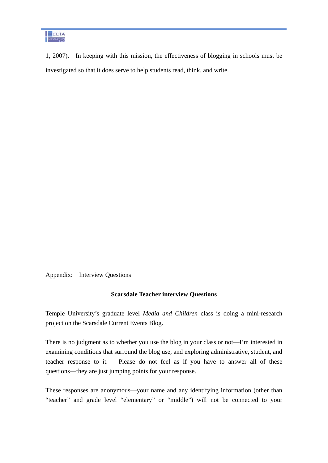1, 2007). In keeping with this mission, the effectiveness of blogging in schools must be investigated so that it does serve to help students read, think, and write.

Appendix: Interview Questions

#### **Scarsdale Teacher interview Questions**

Temple University's graduate level *Media and Children* class is doing a mini-research project on the Scarsdale Current Events Blog.

There is no judgment as to whether you use the blog in your class or not—I'm interested in examining conditions that surround the blog use, and exploring administrative, student, and teacher response to it. Please do not feel as if you have to answer all of these questions—they are just jumping points for your response.

These responses are anonymous—your name and any identifying information (other than "teacher" and grade level "elementary" or "middle") will not be connected to your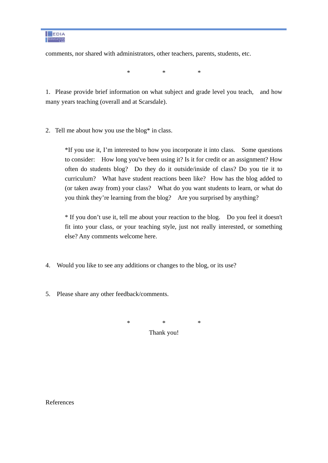

comments, nor shared with administrators, other teachers, parents, students, etc.

 $*$  \*  $*$ 

1. Please provide brief information on what subject and grade level you teach, and how many years teaching (overall and at Scarsdale).

2. Tell me about how you use the blog\* in class.

\*If you use it, I'm interested to how you incorporate it into class. Some questions to consider: How long you've been using it? Is it for credit or an assignment? How often do students blog? Do they do it outside/inside of class? Do you tie it to curriculum? What have student reactions been like? How has the blog added to (or taken away from) your class? What do you want students to learn, or what do you think they're learning from the blog? Are you surprised by anything?

\* If you don't use it, tell me about your reaction to the blog. Do you feel it doesn't fit into your class, or your teaching style, just not really interested, or something else? Any comments welcome here.

- 4. Would you like to see any additions or changes to the blog, or its use?
- 5. Please share any other feedback/comments.

 $*$  \*  $*$ Thank you!

References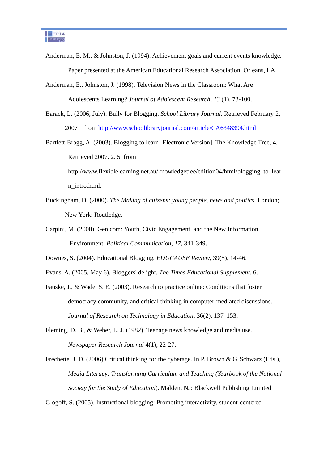- Anderman, E. M., & Johnston, J. (1994). Achievement goals and current events knowledge. Paper presented at the American Educational Research Association, Orleans, LA.
- Anderman, E., Johnston, J. (1998). Television News in the Classroom: What Are Adolescents Learning? *Journal of Adolescent Research, 13* (1), 73-100.
- Barack, L. (2006, July). Bully for Blogging. *School Library Journal.* Retrieved February 2, 2007 from http://www.schoolibraryjournal.com/article/CA6348394.html

Bartlett-Bragg, A. (2003). Blogging to learn [Electronic Version]. The Knowledge Tree, 4. Retrieved 2007. 2. 5. from http://www.flexiblelearning.net.au/knowledgetree/edition04/html/blogging to lear n\_intro.html.

- Buckingham, D. (2000). *The Making of citizens: young people, news and politics.* London; New York: Routledge.
- Carpini, M. (2000). Gen.com: Youth, Civic Engagement, and the New Information Environment. *Political Communication, 17,* 341-349.

Downes, S. (2004). Educational Blogging*. EDUCAUSE Review*, 39(5), 14-46.

Evans, A. (2005, May 6). Bloggers' delight. *The Times Educational Supplement*, 6.

- Fauske, J., & Wade, S. E. (2003). Research to practice online: Conditions that foster democracy community, and critical thinking in computer-mediated discussions. *Journal of Research on Technology in Education*, 36(2), 137–153.
- Fleming, D. B., & Weber, L. J. (1982). Teenage news knowledge and media use. *Newspaper Research Journal* 4(1), 22-27.

Frechette, J. D. (2006) Critical thinking for the cyberage. In P. Brown & G. Schwarz (Eds.), *Media Literacy: Transforming Curriculum and Teaching (Yearbook of the National Society for the Study of Education*). Malden, NJ: Blackwell Publishing Limited

Glogoff, S. (2005). Instructional blogging: Promoting interactivity, student-centered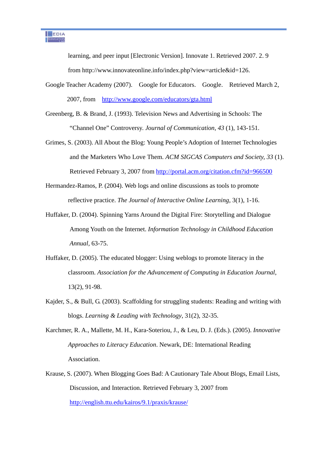learning, and peer input [Electronic Version]. Innovate 1. Retrieved 2007. 2. 9 from http://www.innovateonline.info/index.php?view=article&id=126.

- Google Teacher Academy (2007). Google for Educators. Google. Retrieved March 2, 2007, from http://www.google.com/educators/gta.html
- Greenberg, B. & Brand, J. (1993). Television News and Advertising in Schools: The "Channel One" Controversy. *Journal of Communication, 43* (1), 143-151.
- Grimes, S. (2003). All About the Blog: Young People's Adoption of Internet Technologies and the Marketers Who Love Them. *ACM SIGCAS Computers and Society, 33* (1). Retrieved February 3, 2007 from http://portal.acm.org/citation.cfm?id=966500
- Hermandez-Ramos, P. (2004). Web logs and online discussions as tools to promote reflective practice. *The Journal of Interactive Online Learning*, 3(1), 1-16.
- Huffaker, D. (2004). Spinning Yarns Around the Digital Fire: Storytelling and Dialogue Among Youth on the Internet. *Information Technology in Childhood Education Annual,* 63-75.
- Huffaker, D. (2005). The educated blogger: Using weblogs to promote literacy in the classroom. *Association for the Advancement of Computing in Education Journal*, 13(2), 91-98.
- Kajder, S., & Bull, G. (2003). Scaffolding for struggling students: Reading and writing with blogs. *Learning & Leading with Technology*, 31(2), 32-35.
- Karchmer, R. A., Mallette, M. H., Kara-Soteriou, J., & Leu, D. J. (Eds.). (2005). *Innovative Approaches to Literacy Education*. Newark, DE: International Reading Association.
- Krause, S. (2007). When Blogging Goes Bad: A Cautionary Tale About Blogs, Email Lists, Discussion, and Interaction. Retrieved February 3, 2007 from http://english.ttu.edu/kairos/9.1/praxis/krause/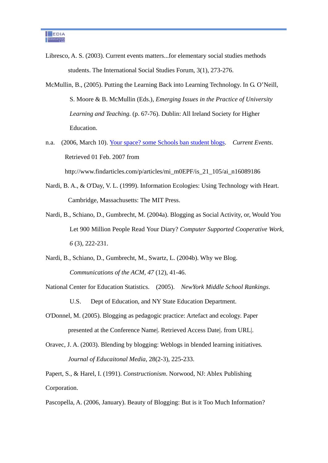Libresco, A. S. (2003). Current events matters...for elementary social studies methods students. The International Social Studies Forum, 3(1), 273-276.

- McMullin, B., (2005). Putting the Learning Back into Learning Technology. In G. O'Neill, S. Moore & B. McMullin (Eds.), *Emerging Issues in the Practice of University Learning and Teaching.* (p. 67-76). Dublin: All Ireland Society for Higher Education.
- n.a. (2006, March 10). Your space? some Schools ban student blogs. *Current Events*. Retrieved 01 Feb. 2007 from http://www.findarticles.com/p/articles/mi\_m0EPF/is\_21\_105/ai\_n16089186
- Nardi, B. A., & O'Day, V. L. (1999). Information Ecologies: Using Technology with Heart. Cambridge, Massachusetts: The MIT Press.
- Nardi, B., Schiano, D., Gumbrecht, M. (2004a). Blogging as Social Activity, or, Would You Let 900 Million People Read Your Diary? *Computer Supported Cooperative Work, 6* (3), 222-231.
- Nardi, B., Schiano, D., Gumbrecht, M., Swartz, L. (2004b). Why we Blog. *Communications of the ACM, 47* (12), 41-46.
- National Center for Education Statistics. (2005). *NewYork Middle School Rankings*. U.S. Dept of Education, and NY State Education Department.
- O'Donnel, M. (2005). Blogging as pedagogic practice: Artefact and ecology. Paper presented at the Conference Name|. Retrieved Access Date|. from URL|.
- Oravec, J. A. (2003). Blending by blogging: Weblogs in blended learning initiatives*. Journal of Educaitonal Media*, 28(2-3), 225-233.

Papert, S., & Harel, I. (1991). *Constructionism*. Norwood, NJ: Ablex Publishing Corporation.

Pascopella, A. (2006, January). Beauty of Blogging: But is it Too Much Information?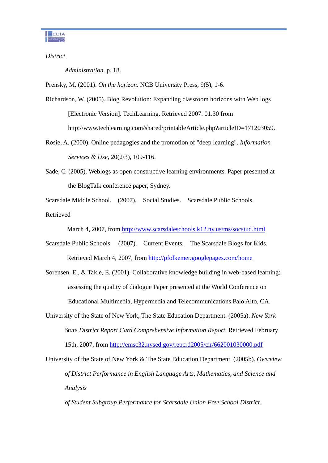

*District* 

*Administration*. p. 18.

Prensky, M. (2001). *On the horizon*. NCB University Press, 9(5), 1-6.

- Richardson, W. (2005). Blog Revolution: Expanding classroom horizons with Web logs [Electronic Version]. TechLearning. Retrieved 2007. 01.30 from http://www.techlearning.com/shared/printableArticle.php?articleID=171203059.
- Rosie, A. (2000). Online pedagogies and the promotion of "deep learning". *Information Services & Use*, 20(2/3), 109-116.
- Sade, G. (2005). Weblogs as open constructive learning environments. Paper presented at the BlogTalk conference paper, Sydney.

Scarsdale Middle School. (2007). Social Studies. Scarsdale Public Schools. Retrieved

March 4, 2007, from http://www.scarsdaleschools.k12.ny.us/ms/socstud.html

- Scarsdale Public Schools. (2007). Current Events. The Scarsdale Blogs for Kids. Retrieved March 4, 2007, from http://pfolkemer.googlepages.com/home
- Sorensen, E., & Takle, E. (2001). Collaborative knowledge building in web-based learning: assessing the quality of dialogue Paper presented at the World Conference on Educational Multimedia, Hypermedia and Telecommunications Palo Alto, CA.
- University of the State of New York, The State Education Department. (2005a). *New York State District Report Card Comprehensive Information Report*. Retrieved February 15th, 2007, from http://emsc32.nysed.gov/repcrd2005/cir/662001030000.pdf
- University of the State of New York & The State Education Department. (2005b). *Overview of District Performance in English Language Arts, Mathematics, and Science and Analysis*

*of Student Subgroup Performance for Scarsdale Union Free School District*.